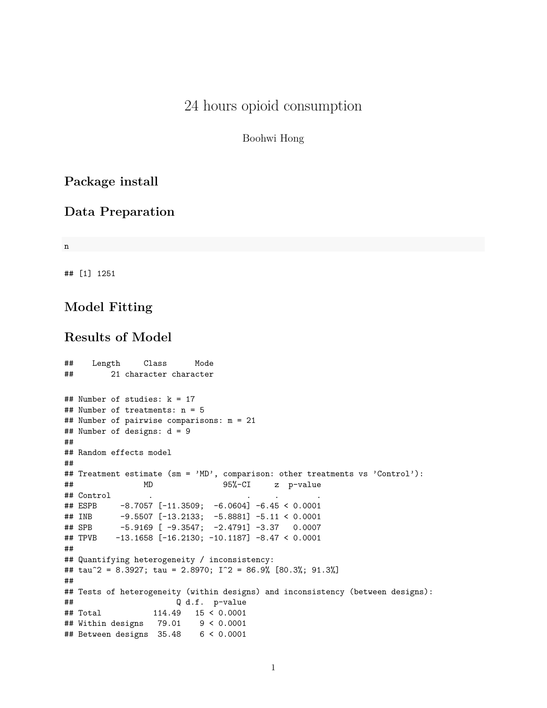## 24 hours opioid consumption

Boohwi Hong

## **Package install**

#### **Data Preparation**

n

## [1] 1251

### **Model Fitting**

### **Results of Model**

```
## Length Class Mode
## 21 character character
## Number of studies: k = 17
## Number of treatments: n = 5
## Number of pairwise comparisons: m = 21
## Number of designs: d = 9
##
## Random effects model
##
## Treatment estimate (sm = 'MD', comparison: other treatments vs 'Control'):
## MD 95%-CI z p-value
## Control . . . .
## ESPB -8.7057 [-11.3509; -6.0604] -6.45 < 0.0001
## INB -9.5507 [-13.2133; -5.8881] -5.11 < 0.0001
## SPB -5.9169 [ -9.3547; -2.4791] -3.37 0.0007
## TPVB -13.1658 [-16.2130; -10.1187] -8.47 < 0.0001
##
## Quantifying heterogeneity / inconsistency:
## tau^2 = 8.3927; tau = 2.8970; I^2 = 86.9% [80.3%; 91.3%]
##
## Tests of heterogeneity (within designs) and inconsistency (between designs):
## Q d.f. p-value
## Total 114.49 15 < 0.0001
## Within designs 79.01 9 < 0.0001
## Between designs 35.48 6 < 0.0001
```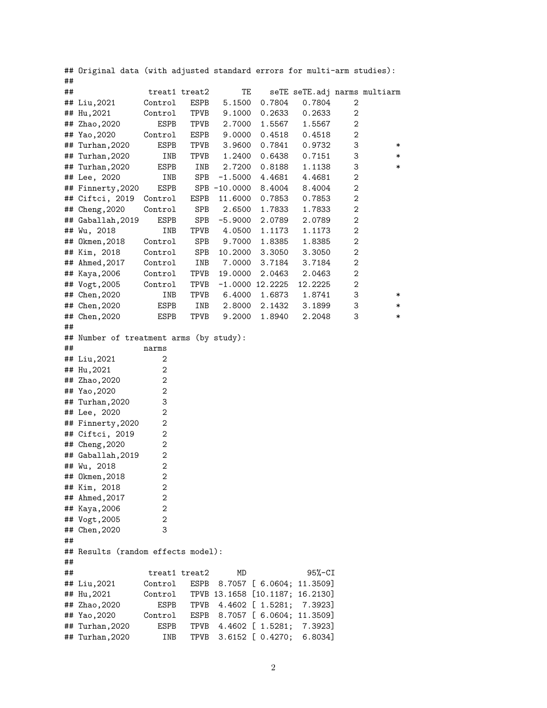|    | ## Original data (with adjusted standard errors for multi-arm studies): |                |               |                        |                       |                              |             |        |
|----|-------------------------------------------------------------------------|----------------|---------------|------------------------|-----------------------|------------------------------|-------------|--------|
| ## |                                                                         |                |               |                        |                       |                              |             |        |
| ## |                                                                         |                | treat1 treat2 | TE                     |                       | seTE seTE.adj narms multiarm |             |        |
|    | ## Liu,2021                                                             | Control        | ESPB          | 5.1500                 | 0.7804                | 0.7804                       | 2           |        |
|    | ## Hu, 2021                                                             | Control        | TPVB          | 9.1000                 | 0.2633                | 0.2633                       | 2           |        |
| ## | Zhao, 2020                                                              | <b>ESPB</b>    | TPVB          | 2.7000                 | 1.5567                | 1.5567                       | 2           |        |
|    | ## Yao, 2020                                                            | Control        | ESPB          | 9.0000                 | 0.4518                | 0.4518                       | $\mathbf 2$ |        |
|    | ## Turhan, 2020                                                         | ESPB           | TPVB          | 3.9600                 | 0.7841                | 0.9732                       | 3           | $\ast$ |
|    | ## Turhan, 2020                                                         | INB            | TPVB          | 1.2400                 | 0.6438                | 0.7151                       | 3           | $\ast$ |
|    | ## Turhan, 2020                                                         | ESPB           | INB           | 2.7200                 | 0.8188                | 1.1138                       | 3           | $\ast$ |
|    | ## Lee, 2020                                                            | INB            | SPB           | $-1.5000$              | 4.4681                | 4.4681                       | $\mathbf 2$ |        |
|    | ## Finnerty, 2020                                                       | ESPB           |               | SPB -10.0000           | 8.4004                | 8.4004                       | $\mathbf 2$ |        |
|    | ## Ciftci, 2019                                                         | Control        | ESPB          | 11.6000                | 0.7853                | 0.7853                       | $\mathbf 2$ |        |
|    | ## Cheng, 2020                                                          | Control        | SPB           | 2.6500                 | 1.7833                | 1.7833                       | $\mathbf 2$ |        |
|    | ## Gaballah, 2019                                                       | ESPB           | SPB           | $-5.9000$              | 2.0789                | 2.0789                       | $\mathbf 2$ |        |
|    | ## Wu, 2018                                                             | INB            | TPVB          | 4.0500                 | 1.1173                | 1.1173                       | $\mathbf 2$ |        |
|    | ## Okmen, 2018                                                          | Control        | SPB           | 9.7000                 | 1.8385                | 1.8385                       | $\mathbf 2$ |        |
|    | ## Kim, 2018                                                            | Control        | SPB           | 10.2000                | 3.3050                | 3.3050                       | $\mathbf 2$ |        |
|    | ## Ahmed, 2017                                                          | Control        | INB           | 7.0000                 | 3.7184                | 3.7184                       | 2           |        |
|    | ## Kaya, 2006                                                           | Control        | TPVB          | 19.0000                | 2.0463                | 2.0463                       | 2           |        |
|    | ## Vogt, 2005                                                           | Control        | TPVB          |                        | $-1.0000$ 12.2225     | 12.2225                      | 2           |        |
|    | ## Chen, 2020                                                           | INB            | TPVB          | 6.4000                 | 1.6873                | 1.8741                       | 3           | $\ast$ |
|    | ## Chen, 2020                                                           | ESPB           | INB           | 2.8000                 | 2.1432                | 3.1899                       | 3           | ∗      |
|    | ## Chen, 2020                                                           | ESPB           | TPVB          | 9.2000                 | 1.8940                | 2.2048                       | 3           | $\ast$ |
| ## |                                                                         |                |               |                        |                       |                              |             |        |
|    | ## Number of treatment arms (by study):                                 |                |               |                        |                       |                              |             |        |
| ## |                                                                         | narms          |               |                        |                       |                              |             |        |
|    | ## Liu,2021                                                             | 2<br>2         |               |                        |                       |                              |             |        |
|    | ## Hu, 2021                                                             | 2              |               |                        |                       |                              |             |        |
|    | ## Zhao, 2020<br>## Yao, 2020                                           | 2              |               |                        |                       |                              |             |        |
|    | ## Turhan, 2020                                                         | 3              |               |                        |                       |                              |             |        |
|    | ## Lee, 2020                                                            | 2              |               |                        |                       |                              |             |        |
|    | ## Finnerty, 2020                                                       | 2              |               |                        |                       |                              |             |        |
|    | ## Ciftci, 2019                                                         | 2              |               |                        |                       |                              |             |        |
|    | ## Cheng, 2020                                                          | 2              |               |                        |                       |                              |             |        |
|    | ## Gaballah, 2019                                                       | 2              |               |                        |                       |                              |             |        |
|    | ## Wu, 2018                                                             | $\overline{2}$ |               |                        |                       |                              |             |        |
|    | ## 0kmen, 2018                                                          | 2              |               |                        |                       |                              |             |        |
|    | ## Kim, 2018                                                            | 2              |               |                        |                       |                              |             |        |
|    | ## Ahmed, 2017                                                          | 2              |               |                        |                       |                              |             |        |
|    | ## Kaya, 2006                                                           | 2              |               |                        |                       |                              |             |        |
|    | ## Vogt, 2005                                                           | 2              |               |                        |                       |                              |             |        |
|    | ## Chen, 2020                                                           | 3              |               |                        |                       |                              |             |        |
| ## |                                                                         |                |               |                        |                       |                              |             |        |
|    | ## Results (random effects model):                                      |                |               |                        |                       |                              |             |        |
| ## |                                                                         |                |               |                        |                       |                              |             |        |
| ## |                                                                         |                | treat1 treat2 | MD                     |                       | $95% - CI$                   |             |        |
|    | ## Liu,2021                                                             | Control        | ESPB          |                        | 8.7057 [ 6.0604;      | 11.3509]                     |             |        |
|    | ## Hu, 2021                                                             | Control        |               | TPVB 13.1658 [10.1187; |                       | 16.2130]                     |             |        |
|    | ## Zhao,2020                                                            | ESPB           | TPVB          |                        | 4.4602 [ 1.5281;      | 7.3923]                      |             |        |
|    | ## Yao, 2020                                                            | Control        | ESPB          |                        |                       | 8.7057 [ 6.0604; 11.3509]    |             |        |
|    | ## Turhan, 2020                                                         | ESPB           | TPVB          |                        | 4.4602 [ 1.5281;      | 7.3923]                      |             |        |
|    | ## Turhan, 2020                                                         | INB            | TPVB          |                        | $3.6152$ [ $0.4270$ ; | 6.8034]                      |             |        |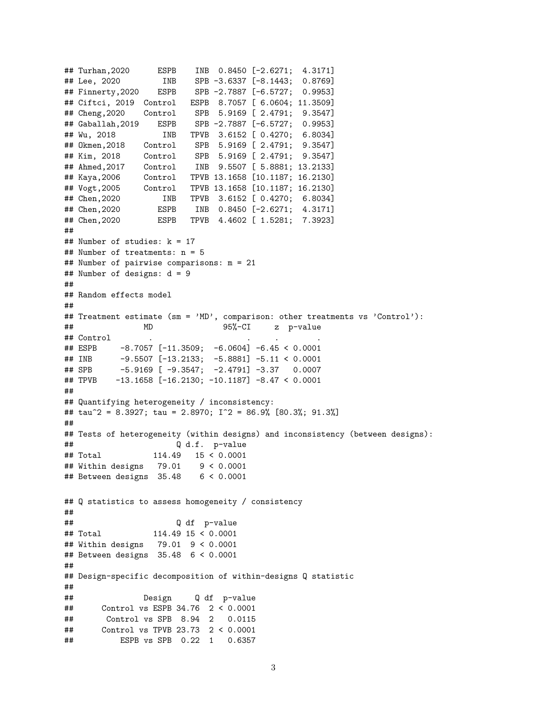```
## Turhan,2020 ESPB INB 0.8450 [-2.6271; 4.3171]
## Lee, 2020 INB SPB -3.6337 [-8.1443; 0.8769]
## Finnerty,2020 ESPB SPB -2.7887 [-6.5727; 0.9953]
## Ciftci, 2019 Control ESPB 8.7057 [ 6.0604; 11.3509]
## Cheng,2020 Control SPB 5.9169 [ 2.4791; 9.3547]
## Gaballah,2019 ESPB SPB -2.7887 [-6.5727; 0.9953]
## Wu, 2018 INB TPVB 3.6152 [ 0.4270; 6.8034]
## Okmen,2018 Control SPB 5.9169 [ 2.4791; 9.3547]
## Kim, 2018 Control SPB 5.9169 [ 2.4791; 9.3547]
## Ahmed,2017 Control INB 9.5507 [ 5.8881; 13.2133]
## Kaya,2006 Control TPVB 13.1658 [10.1187; 16.2130]
## Vogt,2005 Control TPVB 13.1658 [10.1187; 16.2130]
## Chen,2020 INB TPVB 3.6152 [ 0.4270; 6.8034]
## Chen,2020 ESPB INB 0.8450 [-2.6271; 4.3171]
## Chen,2020 ESPB TPVB 4.4602 [ 1.5281; 7.3923]
##
## Number of studies: k = 17
## Number of treatments: n = 5
## Number of pairwise comparisons: m = 21
## Number of designs: d = 9
##
## Random effects model
##
## Treatment estimate (sm = 'MD', comparison: other treatments vs 'Control'):
## MD 95%-CI z p-value
## Control
## ESPB -8.7057 [-11.3509; -6.0604] -6.45 < 0.0001
## INB -9.5507 [-13.2133; -5.8881] -5.11 < 0.0001
## SPB -5.9169 [ -9.3547; -2.4791] -3.37 0.0007
## TPVB -13.1658 [-16.2130; -10.1187] -8.47 < 0.0001
##
## Quantifying heterogeneity / inconsistency:
## tau^2 = 8.3927; tau = 2.8970; I^2 = 86.9% [80.3%; 91.3%]
##
## Tests of heterogeneity (within designs) and inconsistency (between designs):
## Q d.f. p-value
## Total 114.49 15 < 0.0001
## Within designs 79.01 9 < 0.0001
## Between designs 35.48 6 < 0.0001
## Q statistics to assess homogeneity / consistency
##
## Q df p-value
## Total 114.49 15 < 0.0001
## Within designs 79.01 9 < 0.0001
## Between designs 35.48 6 < 0.0001
##
## Design-specific decomposition of within-designs Q statistic
##
## Design Q df p-value
## Control vs ESPB 34.76 2 < 0.0001
## Control vs SPB 8.94 2 0.0115
## Control vs TPVB 23.73 2 < 0.0001
## ESPB vs SPB 0.22 1 0.6357
```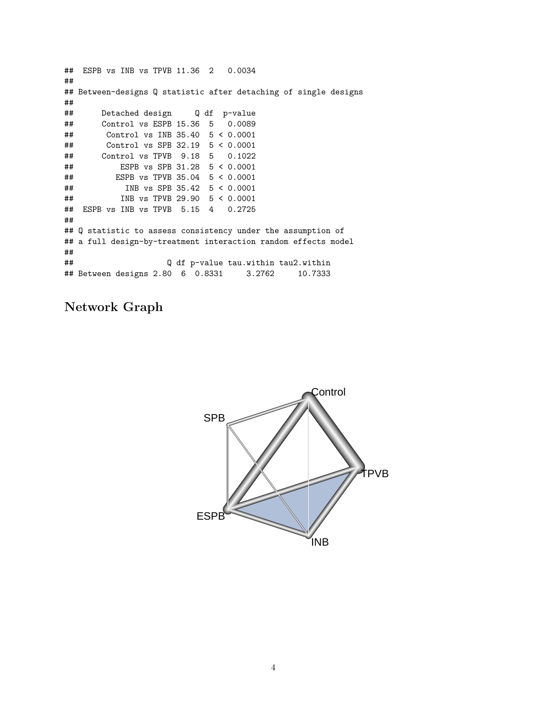## ESPB vs INB vs TPVB 11.36 2 0.0034 ## ## Between-designs Q statistic after detaching of single designs ## ## Detached design Q df p-value ## Control vs ESPB 15.36 5 0.0089 ## Control vs INB 35.40 5 < 0.0001 ## Control vs SPB 32.19 5 < 0.0001 ## Control vs TPVB 9.18 5 0.1022 ## ESPB vs SPB 31.28 5 < 0.0001 ## ESPB vs TPVB 35.04 5 < 0.0001 ## INB vs SPB 35.42 5 < 0.0001 ## INB vs TPVB 29.90 5 < 0.0001 ## ESPB vs INB vs TPVB 5.15 4 0.2725 ## ## Q statistic to assess consistency under the assumption of ## a full design-by-treatment interaction random effects model ## ## Q df p-value tau.within tau2.within ## Between designs 2.80 6 0.8331 3.2762 10.7333

## **Network Graph**

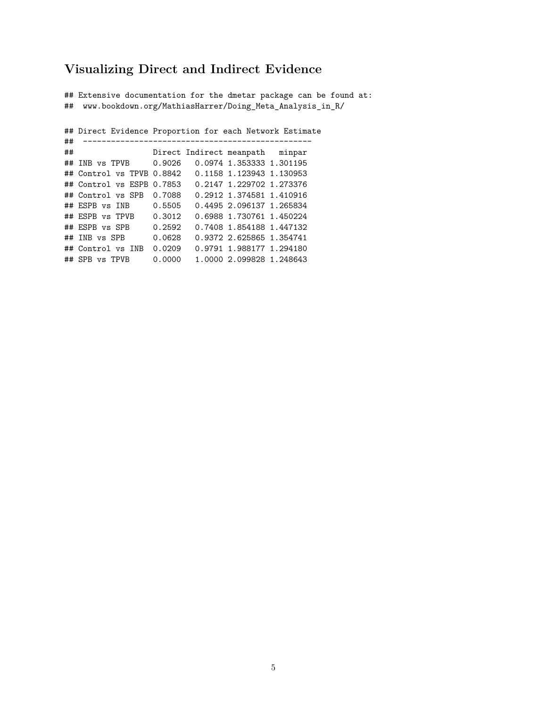### **Visualizing Direct and Indirect Evidence**

## Extensive documentation for the dmetar package can be found at: ## www.bookdown.org/MathiasHarrer/Doing\_Meta\_Analysis\_in\_R/

## Direct Evidence Proportion for each Network Estimate ## ------------------------------------------------- Direct Indirect meanpath minpar ## INB vs TPVB 0.9026 0.0974 1.353333 1.301195 ## Control vs TPVB 0.8842 0.1158 1.123943 1.130953 ## Control vs ESPB 0.7853 0.2147 1.229702 1.273376 ## Control vs SPB 0.7088 0.2912 1.374581 1.410916 ## ESPB vs INB 0.5505 0.4495 2.096137 1.265834 ## ESPB vs TPVB 0.3012 0.6988 1.730761 1.450224 ## ESPB vs SPB 0.2592 0.7408 1.854188 1.447132 ## INB vs SPB 0.0628 0.9372 2.625865 1.354741 ## Control vs INB 0.0209 0.9791 1.988177 1.294180 ## SPB vs TPVB 0.0000 1.0000 2.099828 1.248643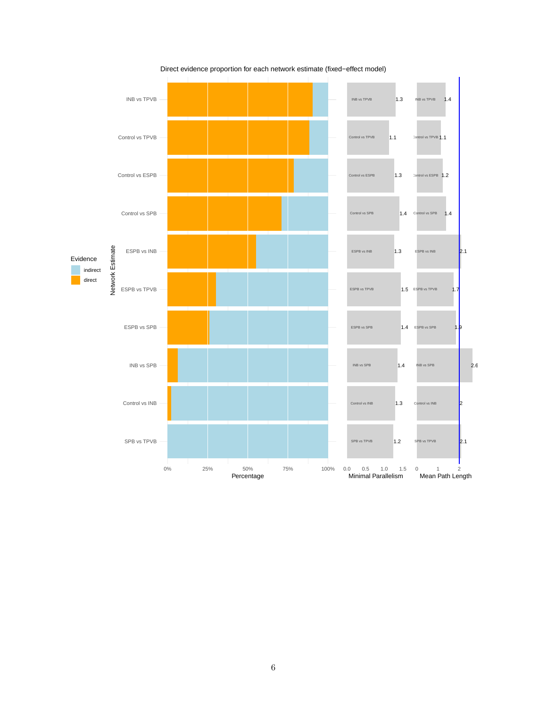

Direct evidence proportion for each network estimate (fixed−effect model)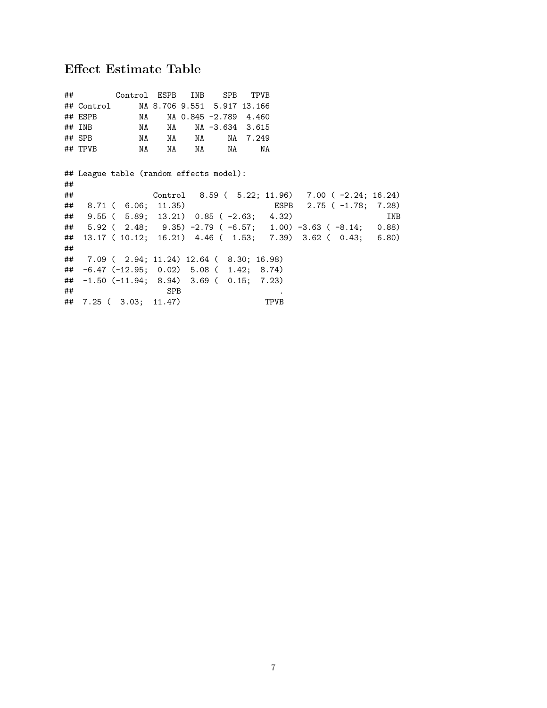# **Effect Estimate Table**

|    |         | ## Control ESPB INB SPB TPVB                            |            |                          |          |      |                                                                 |            |
|----|---------|---------------------------------------------------------|------------|--------------------------|----------|------|-----------------------------------------------------------------|------------|
|    |         | ## Control MA 8.706 9.551 5.917 13.166                  |            |                          |          |      |                                                                 |            |
|    | ## ESPB |                                                         |            | NA NA 0.845 -2.789 4.460 |          |      |                                                                 |            |
|    | ## INB  |                                                         |            | NA NA NA -3.634 3.615    |          |      |                                                                 |            |
|    | ## SPB  | NA NA NA                                                |            |                          | NA 7.249 |      |                                                                 |            |
|    |         |                                                         |            | NA                       | NA       |      |                                                                 |            |
|    |         |                                                         |            |                          |          |      |                                                                 |            |
|    |         | ## League table (random effects model):                 |            |                          |          |      |                                                                 |            |
| ## |         |                                                         |            |                          |          |      |                                                                 |            |
| ## |         |                                                         |            |                          |          |      | Control 8.59 ( 5.22; 11.96) 7.00 (-2.24; 16.24)                 |            |
|    |         | ## 8.71 ( 6.06; 11.35)                                  |            |                          |          |      | ESPB 2.75 ( -1.78; 7.28)                                        |            |
| ## |         | $9.55$ ( $5.89$ ; $13.21$ ) $0.85$ ( $-2.63$ ; $4.32$ ) |            |                          |          |      |                                                                 | <b>INB</b> |
|    |         |                                                         |            |                          |          |      | ## 5.92 ( 2.48; 9.35) -2.79 ( -6.57; 1.00) -3.63 ( -8.14; 0.88) |            |
|    |         |                                                         |            |                          |          |      | ## 13.17 ( 10.12; 16.21) 4.46 ( 1.53; 7.39) 3.62 ( 0.43; 6.80)  |            |
| ## |         |                                                         |            |                          |          |      |                                                                 |            |
|    |         | ## 7.09 ( 2.94; 11.24) 12.64 ( 8.30; 16.98)             |            |                          |          |      |                                                                 |            |
|    |         | $\#$ $-6.47$ (-12.95; 0.02) 5.08 (1.42; 8.74)           |            |                          |          |      |                                                                 |            |
|    |         | $\#$ $-1.50$ (-11.94; 8.94) 3.69 ( 0.15; 7.23)          |            |                          |          |      |                                                                 |            |
| ## |         |                                                         | <b>SPB</b> |                          |          |      |                                                                 |            |
|    |         | ## 7.25 ( 3.03; 11.47)                                  |            |                          |          | TPVB |                                                                 |            |
|    |         |                                                         |            |                          |          |      |                                                                 |            |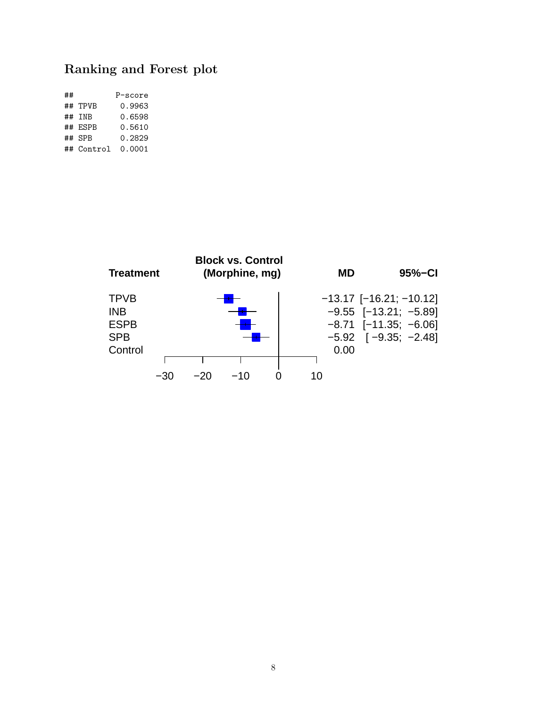## **Ranking and Forest plot**

| ## |            | P-score |
|----|------------|---------|
|    | ## TPVB    | 0.9963  |
|    | ## TNB     | 0.6598  |
|    | ## ESPR    | 0.5610  |
|    | $##$ SPR   | 0.2829  |
|    | ## Control | 0.0001  |

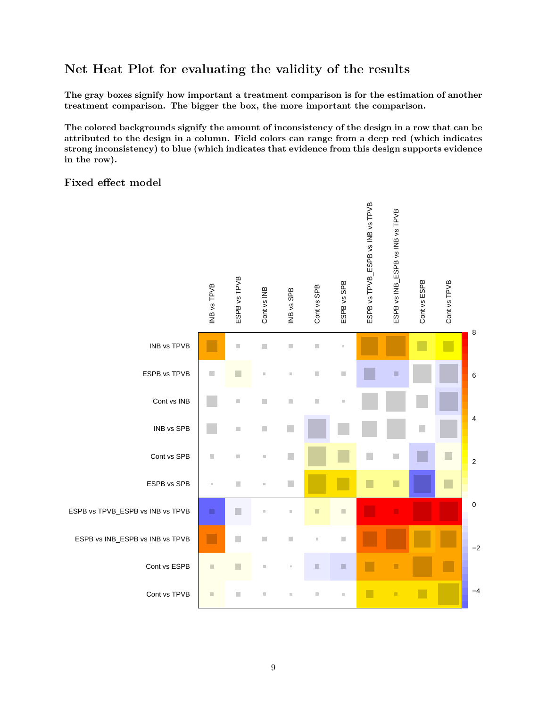## **Net Heat Plot for evaluating the validity of the results**

**The gray boxes signify how important a treatment comparison is for the estimation of another treatment comparison. The bigger the box, the more important the comparison.**

**The colored backgrounds signify the amount of inconsistency of the design in a row that can be attributed to the design in a column. Field colors can range from a deep red (which indicates strong inconsistency) to blue (which indicates that evidence from this design supports evidence in the row).**

#### **Fixed effect model**

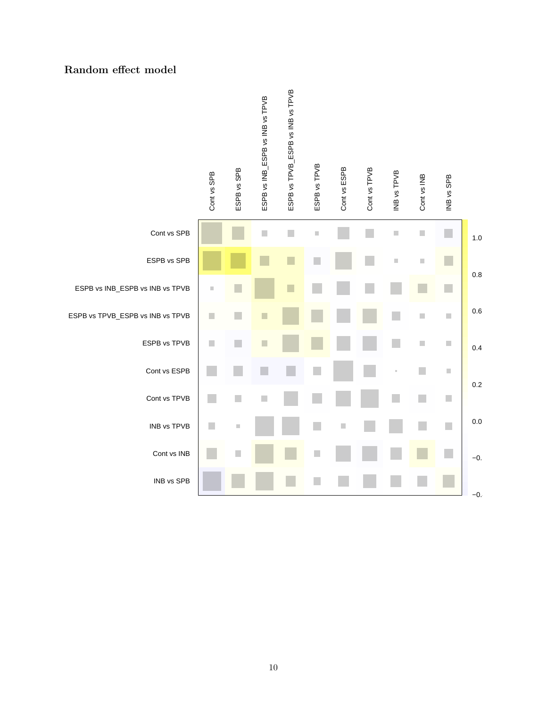#### **Random effect model**

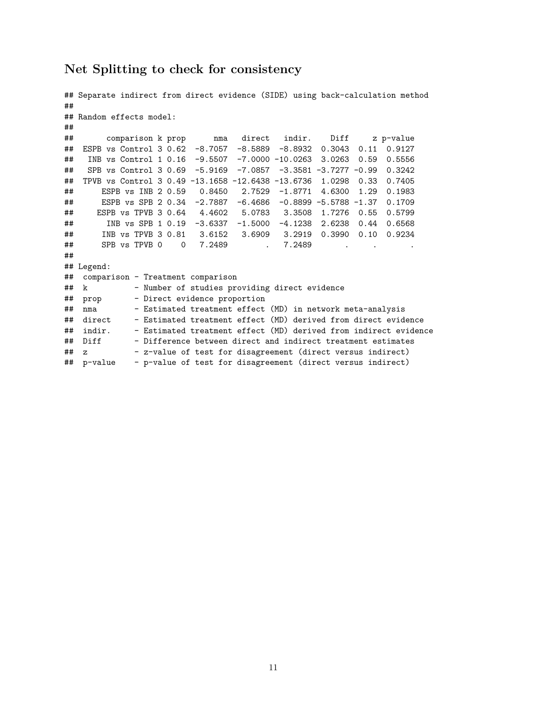#### **Net Splitting to check for consistency**

```
## Separate indirect from direct evidence (SIDE) using back-calculation method
##
## Random effects model:
##
## comparison k prop nma direct indir. Diff z p-value
## ESPB vs Control 3 0.62 -8.7057 -8.5889 -8.8932 0.3043 0.11 0.9127
## INB vs Control 1 0.16 -9.5507 -7.0000 -10.0263 3.0263 0.59 0.5556
## SPB vs Control 3 0.69 -5.9169 -7.0857 -3.3581 -3.7277 -0.99 0.3242
## TPVB vs Control 3 0.49 -13.1658 -12.6438 -13.6736 1.0298 0.33 0.7405
## ESPB vs INB 2 0.59 0.8450 2.7529 -1.8771 4.6300 1.29 0.1983
## ESPB vs SPB 2 0.34 -2.7887 -6.4686 -0.8899 -5.5788 -1.37 0.1709
## ESPB vs TPVB 3 0.64 4.4602 5.0783 3.3508 1.7276 0.55 0.5799
## INB vs SPB 1 0.19 -3.6337 -1.5000 -4.1238 2.6238 0.44 0.6568
## INB vs TPVB 3 0.81 3.6152 3.6909 3.2919 0.3990 0.10 0.9234
## SPB vs TPVB 0 0 7.2489 . 7.2489 . . .
##
## Legend:
## comparison - Treatment comparison
## k - Number of studies providing direct evidence
## prop - Direct evidence proportion
## nma - Estimated treatment effect (MD) in network meta-analysis<br>## direct - Estimated treatment effect (MD) derived from direct evide
## direct - Estimated treatment effect (MD) derived from direct evidence
             - Estimated treatment effect (MD) derived from indirect evidence
## Diff - Difference between direct and indirect treatment estimates
## z - z-value of test for disagreement (direct versus indirect)
## p-value - p-value of test for disagreement (direct versus indirect)
```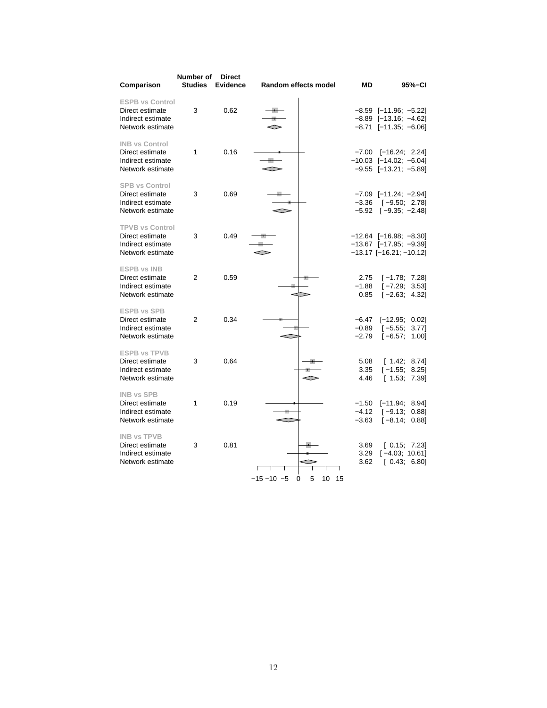| Comparison                                                                         | Number of<br><b>Studies</b> | <b>Direct</b><br><b>Evidence</b> | Random effects model                        | МD                            | 95%-CI                                                                                      |
|------------------------------------------------------------------------------------|-----------------------------|----------------------------------|---------------------------------------------|-------------------------------|---------------------------------------------------------------------------------------------|
| <b>ESPB vs Control</b><br>Direct estimate<br>Indirect estimate<br>Network estimate | 3                           | 0.62                             |                                             |                               | $-8.59$ [ $-11.96$ ; $-5.22$ ]<br>$-8.89$ [-13.16; -4.62]<br>$-8.71$ [ $-11.35$ ; $-6.06$ ] |
| <b>INB vs Control</b><br>Direct estimate<br>Indirect estimate<br>Network estimate  | 1                           | 0.16                             |                                             |                               | $-7.00$ $[-16.24; 2.24]$<br>$-10.03$ [-14.02; -6.04]<br>$-9.55$ [-13.21; -5.89]             |
| <b>SPB vs Control</b><br>Direct estimate<br>Indirect estimate<br>Network estimate  | 3                           | 0.69                             |                                             | $-3.36$<br>$-5.92$            | $-7.09$ [ $-11.24$ ; $-2.94$ ]<br>$[-9.50; 2.78]$<br>$[-9.35; -2.48]$                       |
| <b>TPVB vs Control</b><br>Direct estimate<br>Indirect estimate<br>Network estimate | 3                           | 0.49                             |                                             |                               | $-12.64$ [-16.98; -8.30]<br>$-13.67$ [-17.95; -9.39]<br>-13.17 [-16.21; -10.12]             |
| <b>ESPB vs INB</b><br>Direct estimate<br>Indirect estimate<br>Network estimate     | 2                           | 0.59                             |                                             | 2.75<br>$-1.88$<br>0.85       | $[-1.78; 7.28]$<br>$[-7.29; 3.53]$<br>$[-2.63; 4.32]$                                       |
| <b>ESPB vs SPB</b><br>Direct estimate<br>Indirect estimate<br>Network estimate     | 2                           | 0.34                             |                                             | $-6.47$<br>$-0.89$<br>$-2.79$ | $[-12.95; 0.02]$<br>$[-5.55; 3.77]$<br>$[-6.57]$<br>1.00]                                   |
| <b>ESPB vs TPVB</b><br>Direct estimate<br>Indirect estimate<br>Network estimate    | 3                           | 0.64                             |                                             | 5.08<br>3.35<br>4.46          | [1.42; 8.74]<br>$[-1.55]$<br>8.25<br>[1.53; 7.39]                                           |
| <b>INB vs SPB</b><br>Direct estimate<br>Indirect estimate<br>Network estimate      | 1                           | 0.19                             |                                             | $-1.50$<br>$-4.12$<br>$-3.63$ | $[-11.94; 8.94]$<br>$[-9.13; 0.88]$<br>$[-8.14; 0.88]$                                      |
| <b>INB vs TPVB</b><br>Direct estimate<br>Indirect estimate<br>Network estimate     | 3                           | 0.81                             | $-15 - 10 - 5$<br>5<br>10<br>$\Omega$<br>15 | 3.69<br>3.29<br>3.62          | [0.15; 7.23]<br>$[-4.03; 10.61]$<br>[0.43; 6.80]                                            |